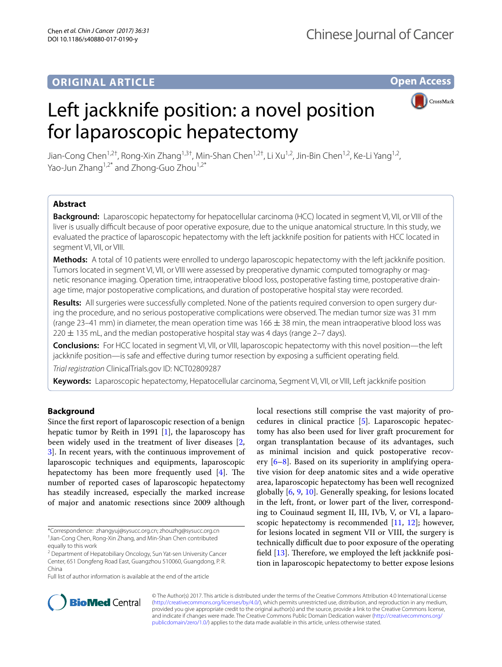# **ORIGINAL ARTICLE**

**Open Access**

# Left jackknife position: a novel position for laparoscopic hepatectomy



Jian‑Cong Chen<sup>1,2†</sup>, Rong‑Xin Zhang<sup>1,3†</sup>, Min‑Shan Chen<sup>1,2†</sup>, Li Xu<sup>1,2</sup>, Jin‑Bin Chen<sup>1,2</sup>, Ke‑Li Yang<sup>1,2</sup>, Yao-Jun Zhang<sup>1,2\*</sup> and Zhong-Guo Zhou<sup>1,2\*</sup>

# **Abstract**

**Background:** Laparoscopic hepatectomy for hepatocellular carcinoma (HCC) located in segment VI, VII, or VIII of the liver is usually difficult because of poor operative exposure, due to the unique anatomical structure. In this study, we evaluated the practice of laparoscopic hepatectomy with the left jackknife position for patients with HCC located in segment VI, VII, or VIII.

**Methods:** A total of 10 patients were enrolled to undergo laparoscopic hepatectomy with the left jackknife position. Tumors located in segment VI, VII, or VIII were assessed by preoperative dynamic computed tomography or magnetic resonance imaging. Operation time, intraoperative blood loss, postoperative fasting time, postoperative drainage time, major postoperative complications, and duration of postoperative hospital stay were recorded.

Results: All surgeries were successfully completed. None of the patients required conversion to open surgery during the procedure, and no serious postoperative complications were observed. The median tumor size was 31 mm (range 23–41 mm) in diameter, the mean operation time was  $166 \pm 38$  min, the mean intraoperative blood loss was  $220 \pm 135$  mL, and the median postoperative hospital stay was 4 days (range 2–7 days).

**Conclusions:** For HCC located in segment VI, VII, or VIII, laparoscopic hepatectomy with this novel position—the left jackknife position—is safe and effective during tumor resection by exposing a sufficient operating field.

*Trial registration* ClinicalTrials.gov ID: NCT02809287

**Keywords:** Laparoscopic hepatectomy, Hepatocellular carcinoma, Segment VI, VII, or VIII, Left jackknife position

# **Background**

Since the first report of laparoscopic resection of a benign hepatic tumor by Reith in 1991 [[1](#page-2-0)], the laparoscopy has been widely used in the treatment of liver diseases [\[2](#page-2-1), [3\]](#page-2-2). In recent years, with the continuous improvement of laparoscopic techniques and equipments, laparoscopic hepatectomy has been more frequently used [[4\]](#page-2-3). The number of reported cases of laparoscopic hepatectomy has steadily increased, especially the marked increase of major and anatomic resections since 2009 although

\*Correspondence: zhangyuj@sysucc.org.cn; zhouzhg@sysucc.org.cn † Jian-Cong Chen, Rong-Xin Zhang, and Min-Shan Chen contributed equally to this work

local resections still comprise the vast majority of procedures in clinical practice [[5\]](#page-3-0). Laparoscopic hepatectomy has also been used for liver graft procurement for organ transplantation because of its advantages, such as minimal incision and quick postoperative recovery  $[6-8]$  $[6-8]$ . Based on its superiority in amplifying operative vision for deep anatomic sites and a wide operative area, laparoscopic hepatectomy has been well recognized globally [\[6](#page-3-1), [9](#page-3-3), [10\]](#page-3-4). Generally speaking, for lesions located in the left, front, or lower part of the liver, corresponding to Couinaud segment II, III, IVb, V, or VI, a laparoscopic hepatectomy is recommended [\[11](#page-3-5), [12](#page-3-6)]; however, for lesions located in segment VII or VIII, the surgery is technically difficult due to poor exposure of the operating field [\[13\]](#page-3-7). Therefore, we employed the left jackknife position in laparoscopic hepatectomy to better expose lesions



© The Author(s) 2017. This article is distributed under the terms of the Creative Commons Attribution 4.0 International License [\(http://creativecommons.org/licenses/by/4.0/\)](http://creativecommons.org/licenses/by/4.0/), which permits unrestricted use, distribution, and reproduction in any medium, provided you give appropriate credit to the original author(s) and the source, provide a link to the Creative Commons license, and indicate if changes were made. The Creative Commons Public Domain Dedication waiver ([http://creativecommons.org/](http://creativecommons.org/publicdomain/zero/1.0/) [publicdomain/zero/1.0/](http://creativecommons.org/publicdomain/zero/1.0/)) applies to the data made available in this article, unless otherwise stated.

<sup>&</sup>lt;sup>2</sup> Department of Hepatobiliary Oncology, Sun Yat-sen University Cancer Center, 651 Dongfeng Road East, Guangzhou 510060, Guangdong, P. R. China

Full list of author information is available at the end of the article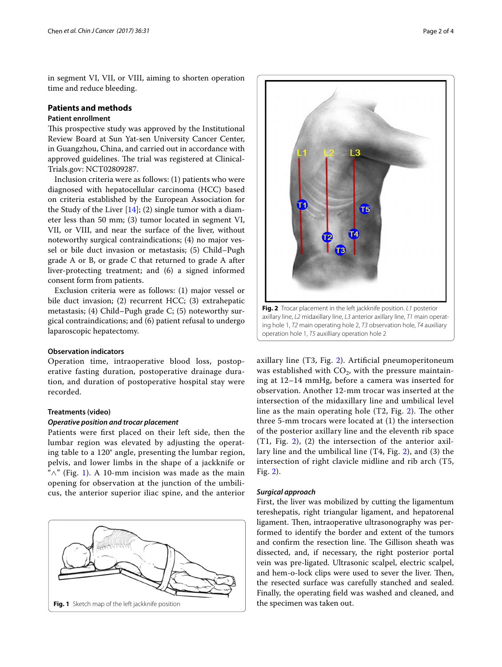in segment VI, VII, or VIII, aiming to shorten operation

# time and reduce bleeding. **Patients and methods**

## **Patient enrollment**

This prospective study was approved by the Institutional Review Board at Sun Yat-sen University Cancer Center, in Guangzhou, China, and carried out in accordance with approved guidelines. The trial was registered at Clinical-Trials.gov: NCT02809287.

Inclusion criteria were as follows: (1) patients who were diagnosed with hepatocellular carcinoma (HCC) based on criteria established by the European Association for the Study of the Liver  $[14]$  $[14]$ ; (2) single tumor with a diameter less than 50 mm; (3) tumor located in segment VI, VII, or VIII, and near the surface of the liver, without noteworthy surgical contraindications; (4) no major vessel or bile duct invasion or metastasis; (5) Child–Pugh grade A or B, or grade C that returned to grade A after liver-protecting treatment; and (6) a signed informed consent form from patients.

Exclusion criteria were as follows: (1) major vessel or bile duct invasion; (2) recurrent HCC; (3) extrahepatic metastasis; (4) Child–Pugh grade C; (5) noteworthy surgical contraindications; and (6) patient refusal to undergo laparoscopic hepatectomy.

#### **Observation indicators**

Operation time, intraoperative blood loss, postoperative fasting duration, postoperative drainage duration, and duration of postoperative hospital stay were recorded.

## **Treatments (video)**

#### *Operative position and trocar placement*

Patients were first placed on their left side, then the lumbar region was elevated by adjusting the operating table to a 120° angle, presenting the lumbar region, pelvis, and lower limbs in the shape of a jackknife or " $\wedge$ " (Fig. [1](#page-1-0)). A 10-mm incision was made as the main opening for observation at the junction of the umbilicus, the anterior superior iliac spine, and the anterior

<span id="page-1-0"></span>



<span id="page-1-1"></span>axillary line (T3, Fig. [2\)](#page-1-1). Artificial pneumoperitoneum was established with  $CO<sub>2</sub>$ , with the pressure maintaining at 12–14 mmHg, before a camera was inserted for observation. Another 12-mm trocar was inserted at the intersection of the midaxillary line and umbilical level line as the main operating hole (T2, Fig. [2\)](#page-1-1). The other three 5-mm trocars were located at (1) the intersection of the posterior axillary line and the eleventh rib space (T1, Fig. [2\)](#page-1-1), (2) the intersection of the anterior axillary line and the umbilical line (T4, Fig. [2](#page-1-1)), and (3) the intersection of right clavicle midline and rib arch (T5, Fig. [2\)](#page-1-1).

#### *Surgical approach*

First, the liver was mobilized by cutting the ligamentum tereshepatis, right triangular ligament, and hepatorenal ligament. Then, intraoperative ultrasonography was performed to identify the border and extent of the tumors and confirm the resection line. The Gillison sheath was dissected, and, if necessary, the right posterior portal vein was pre-ligated. Ultrasonic scalpel, electric scalpel, and hem-o-lock clips were used to sever the liver. Then, the resected surface was carefully stanched and sealed. Finally, the operating field was washed and cleaned, and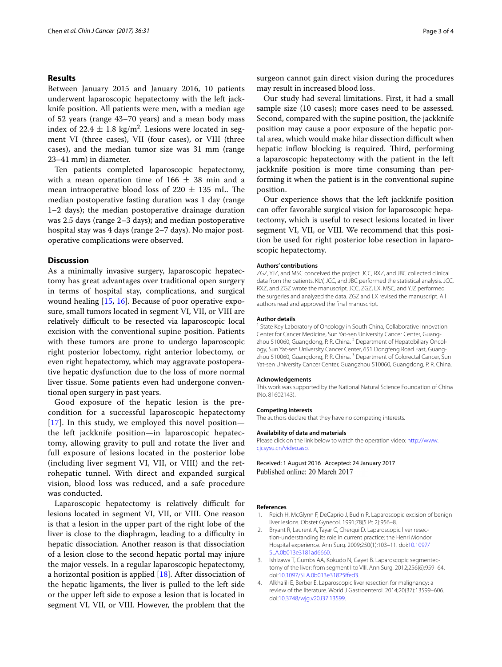### **Results**

Between January 2015 and January 2016, 10 patients underwent laparoscopic hepatectomy with the left jackknife position. All patients were men, with a median age of 52 years (range 43–70 years) and a mean body mass index of  $22.4 \pm 1.8 \text{ kg/m}^2$ . Lesions were located in segment VI (three cases), VII (four cases), or VIII (three cases), and the median tumor size was 31 mm (range 23–41 mm) in diameter.

Ten patients completed laparoscopic hepatectomy, with a mean operation time of  $166 \pm 38$  min and a mean intraoperative blood loss of  $220 \pm 135$  mL. The median postoperative fasting duration was 1 day (range 1–2 days); the median postoperative drainage duration was 2.5 days (range 2–3 days); and median postoperative hospital stay was 4 days (range 2–7 days). No major postoperative complications were observed.

#### **Discussion**

As a minimally invasive surgery, laparoscopic hepatectomy has great advantages over traditional open surgery in terms of hospital stay, complications, and surgical wound healing [[15](#page-3-9), [16](#page-3-10)]. Because of poor operative exposure, small tumors located in segment VI, VII, or VIII are relatively difficult to be resected via laparoscopic local excision with the conventional supine position. Patients with these tumors are prone to undergo laparoscopic right posterior lobectomy, right anterior lobectomy, or even right hepatectomy, which may aggravate postoperative hepatic dysfunction due to the loss of more normal liver tissue. Some patients even had undergone conventional open surgery in past years.

Good exposure of the hepatic lesion is the precondition for a successful laparoscopic hepatectomy [[17](#page-3-11)]. In this study, we employed this novel position the left jackknife position—in laparoscopic hepatectomy, allowing gravity to pull and rotate the liver and full exposure of lesions located in the posterior lobe (including liver segment VI, VII, or VIII) and the retrohepatic tunnel. With direct and expanded surgical vision, blood loss was reduced, and a safe procedure was conducted.

Laparoscopic hepatectomy is relatively difficult for lesions located in segment VI, VII, or VIII. One reason is that a lesion in the upper part of the right lobe of the liver is close to the diaphragm, leading to a difficulty in hepatic dissociation. Another reason is that dissociation of a lesion close to the second hepatic portal may injure the major vessels. In a regular laparoscopic hepatectomy, a horizontal position is applied [\[18](#page-3-12)]. After dissociation of the hepatic ligaments, the liver is pulled to the left side or the upper left side to expose a lesion that is located in segment VI, VII, or VIII. However, the problem that the

surgeon cannot gain direct vision during the procedures may result in increased blood loss.

Our study had several limitations. First, it had a small sample size (10 cases); more cases need to be assessed. Second, compared with the supine position, the jackknife position may cause a poor exposure of the hepatic portal area, which would make hilar dissection difficult when hepatic inflow blocking is required. Third, performing a laparoscopic hepatectomy with the patient in the left jackknife position is more time consuming than performing it when the patient is in the conventional supine position.

Our experience shows that the left jackknife position can offer favorable surgical vision for laparoscopic hepatectomy, which is useful to resect lesions located in liver segment VI, VII, or VIII. We recommend that this position be used for right posterior lobe resection in laparoscopic hepatectomy.

#### **Authors' contributions**

ZGZ, YJZ, and MSC conceived the project. JCC, RXZ, and JBC collected clinical data from the patients. KLY, JCC, and JBC performed the statistical analysis. JCC, RXZ, and ZGZ wrote the manuscript. JCC, ZGZ, LX, MSC, and YJZ performed the surgeries and analyzed the data. ZGZ and LX revised the manuscript. All authors read and approved the final manuscript.

#### **Author details**

<sup>1</sup> State Key Laboratory of Oncology in South China, Collaborative Innovation Center for Cancer Medicine, Sun Yat-sen University Cancer Center, Guangzhou 510060, Guangdong, P. R. China. <sup>2</sup> Department of Hepatobiliary Oncology, Sun Yat-sen University Cancer Center, 651 Dongfeng Road East, Guangzhou 510060, Guangdong, P. R. China.<sup>3</sup> Department of Colorectal Cancer, Sun Yat-sen University Cancer Center, Guangzhou 510060, Guangdong, P. R. China.

#### **Acknowledgements**

This work was supported by the National Natural Science Foundation of China (No. 81602143).

#### **Competing interests**

The authors declare that they have no competing interests.

#### **Availability of data and materials**

Please click on the link below to watch the operation video: [http://www.](http://www.cjcsysu.cn/video.asp) [cjcsysu.cn/video.asp](http://www.cjcsysu.cn/video.asp).

Received: 1 August 2016 Accepted: 24 January 2017 Published online: 20 March 2017

#### **References**

- <span id="page-2-0"></span>Reich H, McGlynn F, DeCaprio J, Budin R. Laparoscopic excision of benign liver lesions. Obstet Gynecol. 1991;78(5 Pt 2):956–8.
- <span id="page-2-1"></span>2. Bryant R, Laurent A, Tayar C, Cherqui D. Laparoscopic liver resection-understanding its role in current practice: the Henri Mondor Hospital experience. Ann Surg. 2009;250(1):103–11. doi[:10.1097/](http://dx.doi.org/10.1097/SLA.0b013e3181ad6660) [SLA.0b013e3181ad6660](http://dx.doi.org/10.1097/SLA.0b013e3181ad6660).
- <span id="page-2-2"></span>3. Ishizawa T, Gumbs AA, Kokudo N, Gayet B. Laparoscopic segmentectomy of the liver: from segment I to VIII. Ann Surg. 2012;256(6):959–64. doi:[10.1097/SLA.0b013e31825ffed3](http://dx.doi.org/10.1097/SLA.0b013e31825ffed3).
- <span id="page-2-3"></span>4. Alkhalili E, Berber E. Laparoscopic liver resection for malignancy: a review of the literature. World J Gastroenterol. 2014;20(37):13599–606. doi:[10.3748/wjg.v20.i37.13599](http://dx.doi.org/10.3748/wjg.v20.i37.13599).